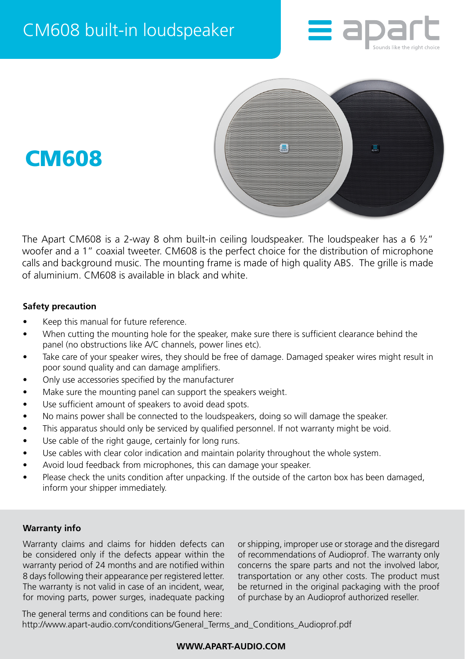





The Apart CM608 is a 2-way 8 ohm built-in ceiling loudspeaker. The loudspeaker has a 6 ½" woofer and a 1" coaxial tweeter. CM608 is the perfect choice for the distribution of microphone calls and background music. The mounting frame is made of high quality ABS. The grille is made of aluminium. CM608 is available in black and white.

# **Safety precaution**

- Keep this manual for future reference.
- When cutting the mounting hole for the speaker, make sure there is sufficient clearance behind the panel (no obstructions like A/C channels, power lines etc).
- Take care of your speaker wires, they should be free of damage. Damaged speaker wires might result in poor sound quality and can damage amplifiers.
- Only use accessories specified by the manufacturer
- Make sure the mounting panel can support the speakers weight.
- Use sufficient amount of speakers to avoid dead spots.
- No mains power shall be connected to the loudspeakers, doing so will damage the speaker.
- This apparatus should only be serviced by qualified personnel. If not warranty might be void.
- Use cable of the right gauge, certainly for long runs.
- Use cables with clear color indication and maintain polarity throughout the whole system.
- Avoid loud feedback from microphones, this can damage your speaker.
- Please check the units condition after unpacking. If the outside of the carton box has been damaged, inform your shipper immediately.

### **Warranty info**

Warranty claims and claims for hidden defects can be considered only if the defects appear within the warranty period of 24 months and are notified within 8 days following their appearance per registered letter. The warranty is not valid in case of an incident, wear, for moving parts, power surges, inadequate packing

or shipping, improper use or storage and the disregard of recommendations of Audioprof. The warranty only concerns the spare parts and not the involved labor, transportation or any other costs. The product must be returned in the original packaging with the proof of purchase by an Audioprof authorized reseller.

The general terms and conditions can be found here: [http://www.apart-audio.com/conditions/General\\_Terms\\_and\\_Conditions\\_Audioprof.pdf](http://www.apart-audio.com/conditions/General_Terms_and_Conditions_Audioprof.pdf)

# **WWW.APART-AUDIO.COM**